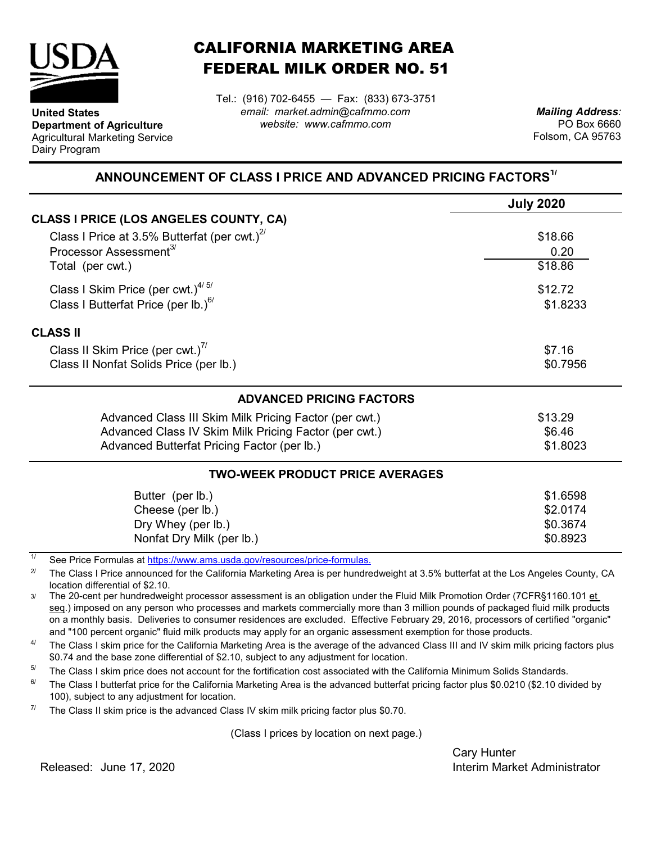

**United States**

Dairy Program

**Department of Agriculture** Agricultural Marketing Service

## CALIFORNIA MARKETING AREA FEDERAL MILK ORDER NO. 51

*email: market.admin@cafmmo.com website: www.cafmmo.com* Tel.: (916) 702-6455 — Fax: (833) 673-3751

*Mailing Address:* PO Box 6660 Folsom, CA 95763

## **ANNOUNCEMENT OF CLASS I PRICE AND ADVANCED PRICING FACTORS1/**

|                                                                               | <b>July 2020</b>    |  |  |
|-------------------------------------------------------------------------------|---------------------|--|--|
| CLASS I PRICE (LOS ANGELES COUNTY, CA)                                        |                     |  |  |
| Class I Price at 3.5% Butterfat (per cwt.) $2^{7}$                            | \$18.66             |  |  |
| Processor Assessment <sup>3/</sup>                                            | 0.20                |  |  |
| Total (per cwt.)                                                              | \$18.86             |  |  |
| Class I Skim Price (per cwt.) $4/5/$                                          | \$12.72<br>\$1.8233 |  |  |
| Class I Butterfat Price (per lb.) $^{6/}$                                     |                     |  |  |
| <b>CLASS II</b>                                                               |                     |  |  |
| Class II Skim Price (per cwt.)"                                               | \$7.16              |  |  |
| Class II Nonfat Solids Price (per lb.)                                        | \$0.7956            |  |  |
| <b>ADVANCED PRICING FACTORS</b>                                               |                     |  |  |
| Advanced Class III Skim Milk Pricing Factor (per cwt.)                        | \$13.29             |  |  |
| Advanced Class IV Skim Milk Pricing Factor (per cwt.)                         | \$6.46              |  |  |
| Advanced Butterfat Pricing Factor (per lb.)                                   |                     |  |  |
| <b>TWO-WEEK PRODUCT PRICE AVERAGES</b>                                        |                     |  |  |
| Butter (per lb.)                                                              | \$1.6598            |  |  |
| Cheese (per lb.)                                                              | \$2.0174            |  |  |
| Dry Whey (per lb.)                                                            | \$0.3674            |  |  |
| Nonfat Dry Milk (per lb.)                                                     | \$0.8923            |  |  |
| 1/<br>Cee Dries Fermules of https://www.ams.uado.gov/resources/prise fermules |                     |  |  |

See Price Formulas at <u>https://www.ams.usda.gov/resources/price-formulas.</u>

2/ The Class I Price announced for the California Marketing Area is per hundredweight at 3.5% butterfat at the Los Angeles County, CA location differential of \$2.10.

3/ The 20-cent per hundredweight processor assessment is an obligation under the Fluid Milk Promotion Order (7CFR§1160.101 et seq.) imposed on any person who processes and markets commercially more than 3 million pounds of packaged fluid milk products on a monthly basis. Deliveries to consumer residences are excluded. Effective February 29, 2016, processors of certified "organic" and "100 percent organic" fluid milk products may apply for an organic assessment exemption for those products.

4/ The Class I skim price for the California Marketing Area is the average of the advanced Class III and IV skim milk pricing factors plus \$0.74 and the base zone differential of \$2.10, subject to any adjustment for location.

5/ The Class I skim price does not account for the fortification cost associated with the California Minimum Solids Standards.

6/ The Class I butterfat price for the California Marketing Area is the advanced butterfat pricing factor plus \$0.0210 (\$2.10 divided by 100), subject to any adjustment for location.

7/ The Class II skim price is the advanced Class IV skim milk pricing factor plus \$0.70.

(Class I prices by location on next page.)

Cary Hunter Released: Interim Market Administrator June 17, 2020